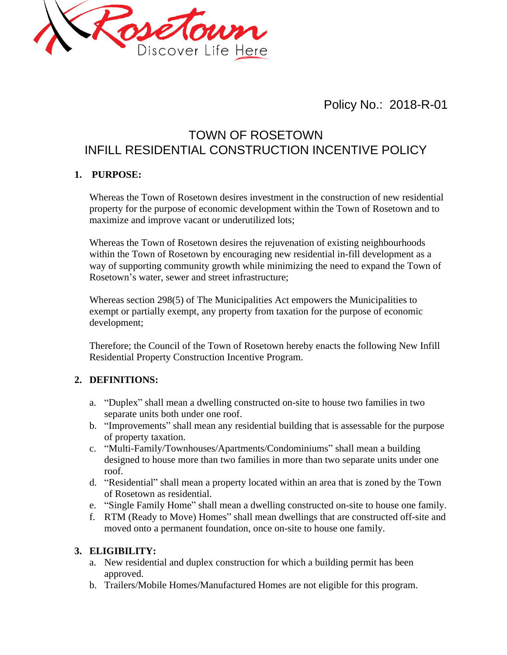

Policy No.: 2018-R-01

# TOWN OF ROSETOWN INFILL RESIDENTIAL CONSTRUCTION INCENTIVE POLICY

## **1. PURPOSE:**

Whereas the Town of Rosetown desires investment in the construction of new residential property for the purpose of economic development within the Town of Rosetown and to maximize and improve vacant or underutilized lots;

Whereas the Town of Rosetown desires the rejuvenation of existing neighbourhoods within the Town of Rosetown by encouraging new residential in-fill development as a way of supporting community growth while minimizing the need to expand the Town of Rosetown's water, sewer and street infrastructure;

Whereas section 298(5) of The Municipalities Act empowers the Municipalities to exempt or partially exempt, any property from taxation for the purpose of economic development;

Therefore; the Council of the Town of Rosetown hereby enacts the following New Infill Residential Property Construction Incentive Program.

# **2. DEFINITIONS:**

- a. "Duplex" shall mean a dwelling constructed on-site to house two families in two separate units both under one roof.
- b. "Improvements" shall mean any residential building that is assessable for the purpose of property taxation.
- c. "Multi-Family/Townhouses/Apartments/Condominiums" shall mean a building designed to house more than two families in more than two separate units under one roof.
- d. "Residential" shall mean a property located within an area that is zoned by the Town of Rosetown as residential.
- e. "Single Family Home" shall mean a dwelling constructed on-site to house one family.
- f. RTM (Ready to Move) Homes" shall mean dwellings that are constructed off-site and moved onto a permanent foundation, once on-site to house one family.

#### **3. ELIGIBILITY:**

- a. New residential and duplex construction for which a building permit has been approved.
- b. Trailers/Mobile Homes/Manufactured Homes are not eligible for this program.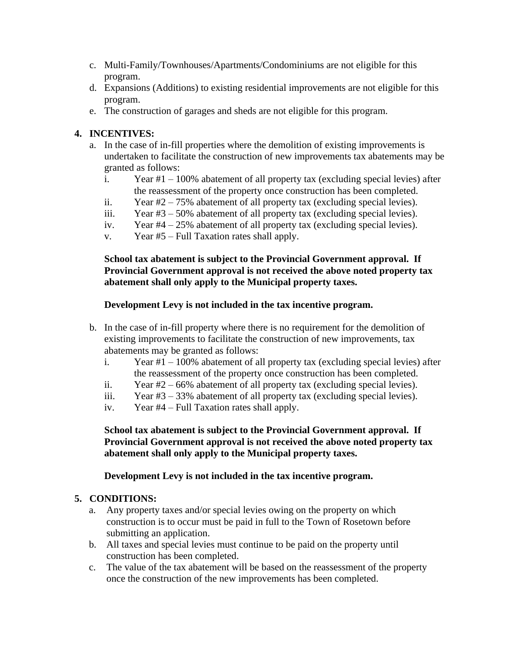- c. Multi-Family/Townhouses/Apartments/Condominiums are not eligible for this program.
- d. Expansions (Additions) to existing residential improvements are not eligible for this program.
- e. The construction of garages and sheds are not eligible for this program.

# **4. INCENTIVES:**

- a. In the case of in-fill properties where the demolition of existing improvements is undertaken to facilitate the construction of new improvements tax abatements may be granted as follows:
	- i. Year #1 100% abatement of all property tax (excluding special levies) after the reassessment of the property once construction has been completed.
	- ii. Year #2 75% abatement of all property tax (excluding special levies).
	- iii. Year #3 50% abatement of all property tax (excluding special levies).
	- iv. Year #4 25% abatement of all property tax (excluding special levies).
	- v. Year #5 Full Taxation rates shall apply.

## **School tax abatement is subject to the Provincial Government approval. If Provincial Government approval is not received the above noted property tax abatement shall only apply to the Municipal property taxes.**

## **Development Levy is not included in the tax incentive program.**

- b. In the case of in-fill property where there is no requirement for the demolition of existing improvements to facilitate the construction of new improvements, tax abatements may be granted as follows:
	- i. Year #1 100% abatement of all property tax (excluding special levies) after the reassessment of the property once construction has been completed.
	- ii. Year #2 66% abatement of all property tax (excluding special levies).
	- iii. Year #3 33% abatement of all property tax (excluding special levies).
	- iv. Year #4 Full Taxation rates shall apply.

**School tax abatement is subject to the Provincial Government approval. If Provincial Government approval is not received the above noted property tax abatement shall only apply to the Municipal property taxes.**

**Development Levy is not included in the tax incentive program.**

#### **5. CONDITIONS:**

- a. Any property taxes and/or special levies owing on the property on which construction is to occur must be paid in full to the Town of Rosetown before submitting an application.
- b. All taxes and special levies must continue to be paid on the property until construction has been completed.
- c. The value of the tax abatement will be based on the reassessment of the property once the construction of the new improvements has been completed.